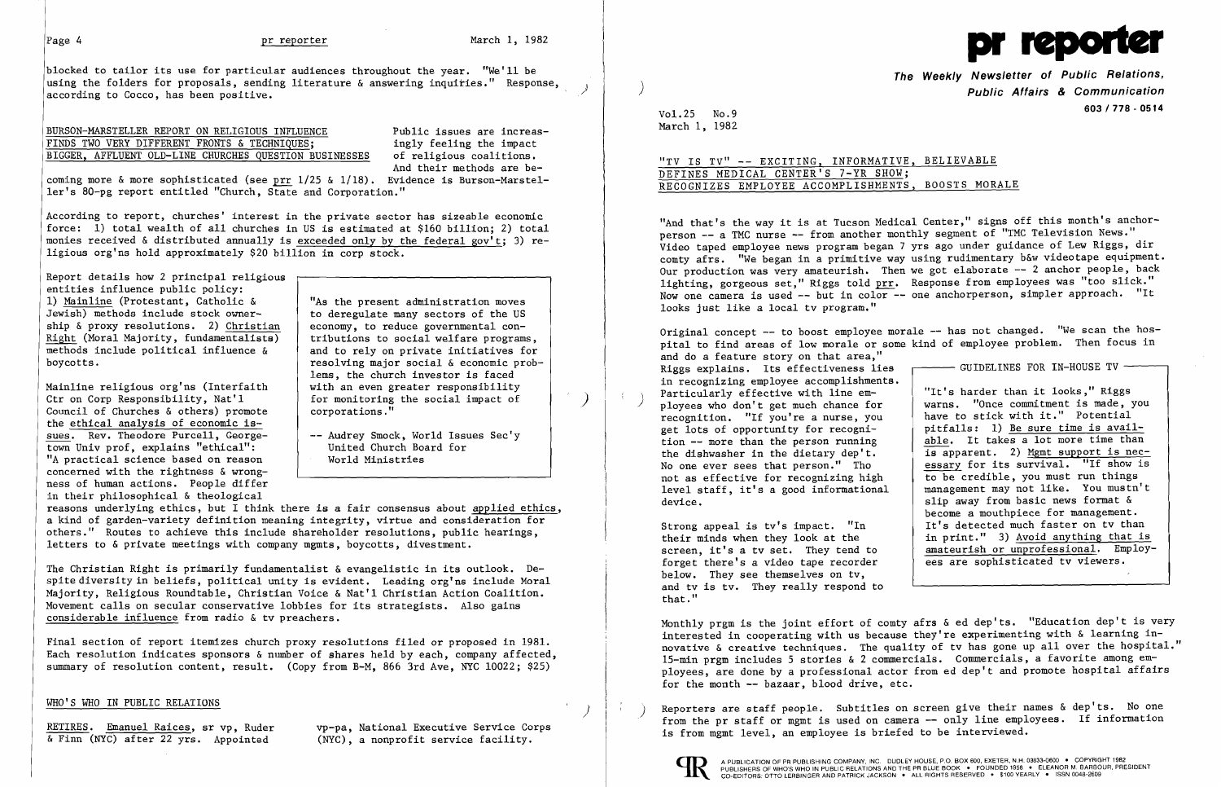blocked to tailor its use for particular audiences throughout the year. "We'll be using the folders for proposals, sending literature & answering inquiries." Response, according to Cocco, has been positive.

### BURSON-MARSTELLER REPORT ON RELIGIOUS INFLUENCE<br>FINDS TWO VERY DIFFERENT FRONTS & TECHNIQUES; in ingly feeling the impact FINDS TWO VERY DIFFERENT FRONTS & TECHNIQUES; ingly feeling the impact<br>BIGGER, AFFLUENT OLD-LINE CHURCHES QUESTION BUSINESSES of religious coalitions. BIGGER, AFFLUENT OLD-LINE CHURCHES QUESTION BUSINESSES

coming more & more sophisticated (see prr  $1/25$  &  $1/18$ ). Evidence is Burson-Marsteller's 80-pg report entitled "Church, State and Corporation."

Report details how 2 principal religious entities influence public policy:<br>1) Mainline (Protestant, Catholic & 1) <u>Mainline</u> (Protestant, Catholic  $\&$   $\parallel$  "As the present administration moves Jewish) methods include stock owner-<br>to deregulate many sectors of the US ship & proxy resolutions. 2)  $\frac{Christian}{L}$  economy, to reduce governmental con-<br>Right (Moral Majority, fundamentalists)  $\left\{\n \begin{array}{c}\n \text{economy, to reduce governmental con-} \\
 \text{tributions to social welfare programs,}\n \end{array}\n \right.$  $Right$  (Moral Majority, fundamentalists) methods include political influence  $\delta$ </u> methods include political influence  $\&$  and to rely on private initiatives for<br>boycotts.<br>resolving major social  $\&$  economic prob-

And their methods are be-

According to report, churches' interest in the private sector has sizeable economic force: 1) total wealth of all churches in US is estimated at \$160 billion; 2) total monies received & distributed annually is exceeded only by the federal gov't; 3) religious org'ns hold approximately \$20 billion in corp stock.

Mainline religious org'ns (Interfaith<br>Ctr on Corp Responsibility, Nat'l Council of Churches  $\&$  others) promote the ethical analysis of economic issues. Rev. Theodore Purcell, George-<br>
town Univ prof, explains "ethical":<br>
United Church Board for town Univ prof, explains "ethical": [13] United Church Boat (14) United Church Boat (14) United Church Boat (14) United Church Boat (14) United Church Boat (14) United Church Boat (14) United Church Boat (14) United Church "A practical science based on reason concerned with the rightness & wrongness of human actions. People differ in their philosophical & theological

to deregulate many sectors of the US<br>economy, to reduce governmental conresolving major social & economic problems, the church investor is faced<br>with an even greater responsibility for monitoring the social impact of corporations."

Final section of report itemizes church proxy resolutions filed or proposed in 1981. Each resolution indicates sponsors & number of shares held by each, company affected, summary of resolution content, result. (Copy from B-M, 866 3rd Ave, NYC 10022; \$25)

## "TV IS TV" -- EXCITING, INFORMATIVE, BELIEVABLE DEFINES MEDICAL CENTER'S 7-YR SHOW; RECOGNIZES EMPLOYEE ACCOMPLISHMENTS, BOOSTS MORALE

"And that's the way it is at Tucson Medical Center," signs off this month's anchorperson -- a TMC nurse -- from another monthly segment of "TMC Television News." Video taped employee news program began 7 yrs ago under guidance of Lew Riggs, dir comty afrs. "We began in a primitive way using rudimentary b&w videotape equipment. Our production was very amateurish. Then we got elaborate -- 2 anchor people, back lighting, gorgeous set," Riggs told prr. Response from employees was "too slick." Now one camera is used -- but in color -- one anchorperson, simpler approach. "It looks just like a local tv program."

Original concept -- to boost employee morale -- has not changed. "We scan the hospital to find areas of low morale or some kind of employee problem. Then focus in and do a feature story on that area," Riggs explains. Its effectiveness lies GUIDELINES FOR IN-HOUSE TV in recognizing employee accomplishments. Particularly effective with line em "It's harder than it looks," Riggs<br>warns. "Once commitment is made, you recognition. "If you're a nurse, you ployees who don't get much chance for have to stick with it." Potential get lots of opportunity for recogni-<br>tion -- more than the person running pitfalls: 1) Be sure time is availtion  $-\frac{1}{2}$  more than the person running able. It takes a lot more time than the dishwasher in the dietary dep't. the dishwasher in the dietary dep't.  $\frac{1}{15}$  apparent. 2) Mgmt support is nec-<br>No one ever sees that person." Tho essary for its survival. "If show is essary for its survival. "If show is<br>to be credible, you must run things not as effective for recognizing high to be credible, you must run things<br>level staff, it's a good informational management may not like. You mustn't level staff, it's a good informational device. slip away from basic news format  $\delta$ become a mouthpiece for management. Strong appeal is tv's impact. "In  $\left\{\n \begin{array}{c}\n \text{It's detected much faster on two than}\n \\ \text{in print."}\n \end{array}\n\right.\n\left.\n\right\}$ in print." 3) Avoid anything that is<br>amateurish or unprofessional. Employees are sophisticated tv viewers.

reasons underlying ethics, but I think there is a fair consensus about applied ethics, a kind of garden-variety definition meaning integrity, virtue and consideration for others." Routes to achieve this include shareholder resolutions, public hearings, letters to & private meetings with company mgmts, boycotts, divestment.

The Christian Right is primarily fundamentalist & evangelistic in its outlook. Despite diversity in beliefs, political unity is evident. Leading org'ns include Moral Majority, Religious Roundtable, Christian Voice & Nat'l Christian Action Coalition. Movement calls on secular conservative lobbies for its strategists. Also gains considerable influence from radio & tv preachers.

screen, it's a tv set. They tend to forget there's a video tape recorder below. They see themselves on tv, and tv is tv. They really respond to that."



The Weekly Newsletter of Public Relations, ) Public Affairs & Communication 603/778 - <sup>0514</sup> Vol. 25 No.9

March I, 1982

Monthly prgm is the joint effort of comty afrs & ed dep'ts. "Education dep't is very interested in cooperating with us because they're experimenting with & learning innovative & creative techniques. The quality of tv has gone up all over the hospital." IS-min prgm includes 5 stories & 2 commercials. Commercials, a favorite among employees, are done by a professional actor from ed dep't and promote hospital affairs for the month -- bazaar, blood drive, etc.

WHO'S WHO IN PUBLIC RELATIONS<br>RETIRES. Emanuel Raices, sr vp, Ruder vp-pa, National Executive Service Corps<br>& Finn (NYC) after 22 yrs. Appointed (NYC), a nonprofit service facility.<br>& Finn (NYC) after 22 yrs. Appointed (N